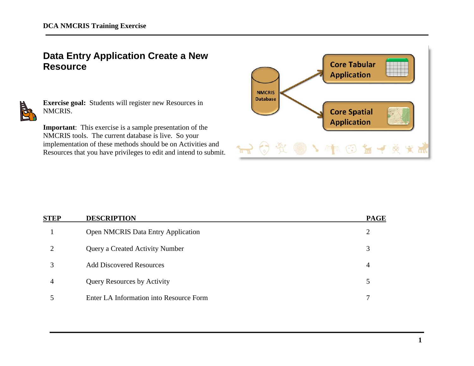# **Data Entry Application Create a New Resource**



**Exercise goal:** Students will register new Resources in NMCRIS.

**Important**: This exercise is a sample presentation of the NMCRIS tools. The current database is live. So your implementation of these methods should be on Activities and Resources that you have privileges to edit and intend to submit.



| <b>STEP</b> | <b>DESCRIPTION</b>                        | <b>PAGE</b> |
|-------------|-------------------------------------------|-------------|
|             | <b>Open NMCRIS Data Entry Application</b> | 2           |
|             | <b>Query a Created Activity Number</b>    | 3           |
|             | <b>Add Discovered Resources</b>           | 4           |
| 4           | <b>Query Resources by Activity</b>        | 5           |
|             | Enter LA Information into Resource Form   |             |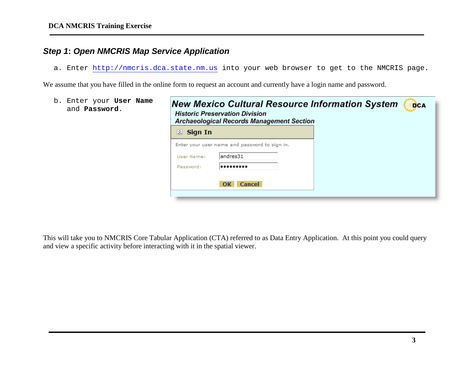### *Step 1***:** *Open NMCRIS Map Service Application*

a. Enter [http://nmcris.dca.state.nm.us](http://nmcris.dca.state.nm.us/) into your web browser to get to the NMCRIS page.

We assume that you have filled in the online form to request an account and currently have a login name and password.

| <b>New Mexico Cultural Resource Information System</b><br><b>DCA</b><br><b>Archaeological Records Management Section</b> |
|--------------------------------------------------------------------------------------------------------------------------|
|                                                                                                                          |
|                                                                                                                          |
|                                                                                                                          |
|                                                                                                                          |
|                                                                                                                          |
|                                                                                                                          |

This will take you to NMCRIS Core Tabular Application (CTA) referred to as Data Entry Application. At this point you could query and view a specific activity before interacting with it in the spatial viewer.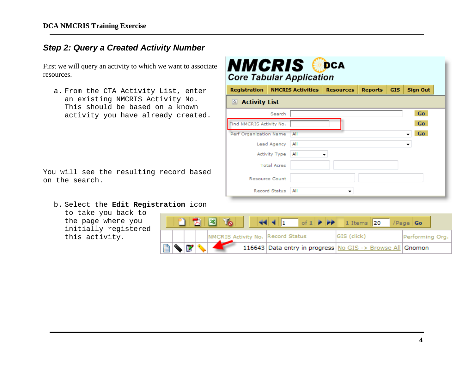### *Step 2: Query a Created Activity Number*

First we will query an activity to which we want to associate resources.

a. From the CTA Activity List, enter an existing NMCRIS Activity No. This should be based on a known activity you have already created.

You will see the resulting record based on the search.

b. Select the **Edit Registration** icon

to take you back to the page where you initially registered this activity.

| <b>Registration</b>      |                       | <b>NMCRIS Activities</b> | <b>Core Tabular Application</b><br><b>Resources</b> | <b>Reports</b> | <b>GIS</b> | <b>Sign Out</b> |
|--------------------------|-----------------------|--------------------------|-----------------------------------------------------|----------------|------------|-----------------|
| Activity List            |                       |                          |                                                     |                |            |                 |
|                          | Search                |                          |                                                     |                |            | Go              |
| Find NMCRIS Activity No. |                       |                          |                                                     |                |            | Go.             |
| Perf Organization Name   |                       | All                      |                                                     |                |            | Go.             |
|                          | Lead Agency           | All                      |                                                     |                |            | ▼               |
|                          | Activity Type         | All                      |                                                     |                |            |                 |
|                          | <b>Total Acres</b>    |                          |                                                     |                |            |                 |
|                          | <b>Resource Count</b> |                          |                                                     |                |            |                 |
|                          | <b>Record Status</b>  | All                      |                                                     |                |            |                 |

|    |                                                                                                                                                                                                                                                                                                                                                     |  | $\sqrt{2}$<br>e Fie               |  |  |                                                             |                 |  |
|----|-----------------------------------------------------------------------------------------------------------------------------------------------------------------------------------------------------------------------------------------------------------------------------------------------------------------------------------------------------|--|-----------------------------------|--|--|-------------------------------------------------------------|-----------------|--|
|    |                                                                                                                                                                                                                                                                                                                                                     |  | NMCRIS Activity No. Record Status |  |  | GIS (click)                                                 | Performing Org. |  |
| In | $\begin{picture}(180,10) \put(0,0){\line(1,0){10}} \put(10,0){\line(1,0){10}} \put(10,0){\line(1,0){10}} \put(10,0){\line(1,0){10}} \put(10,0){\line(1,0){10}} \put(10,0){\line(1,0){10}} \put(10,0){\line(1,0){10}} \put(10,0){\line(1,0){10}} \put(10,0){\line(1,0){10}} \put(10,0){\line(1,0){10}} \put(10,0){\line(1,0){10}} \put(10,0){\line($ |  |                                   |  |  | 116643 Data entry in progress   No GIS -> Browse All Gnomon |                 |  |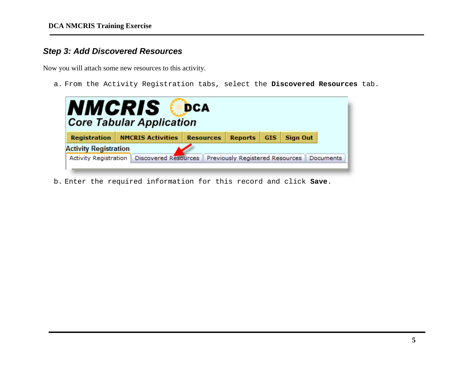## *Step 3: Add Discovered Resources*

Now you will attach some new resources to this activity.

a. From the Activity Registration tabs, select the **Discovered Resources** tab.

|                              | NMCRIS<br><b>Core Tabular Application</b>                                                       | DCA |  |  |  |           |  |  |  |  |  |
|------------------------------|-------------------------------------------------------------------------------------------------|-----|--|--|--|-----------|--|--|--|--|--|
| <b>Registration</b>          | <b>NMCRIS Activities</b><br><b>Resources</b><br><b>Reports</b><br><b>Sign Out</b><br><b>GIS</b> |     |  |  |  |           |  |  |  |  |  |
| <b>Activity Registration</b> |                                                                                                 |     |  |  |  |           |  |  |  |  |  |
|                              | Activity Registration   Discovered Resources   Previously Registered Resources                  |     |  |  |  | Documents |  |  |  |  |  |

b. Enter the required information for this record and click **Save**.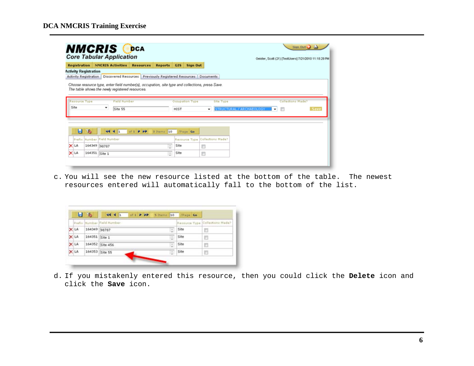| <b>Registration</b>   |                              |                             | <b>NMCRIS Activities</b> | <b>Resources</b> | <b>Reports</b> | <b>GIS</b><br><b>Sign Out</b>                                                        |   |           | Geister, Scott (21) [TestUsers] 7/21/2010 11:18:29 PM |                   |      |
|-----------------------|------------------------------|-----------------------------|--------------------------|------------------|----------------|--------------------------------------------------------------------------------------|---|-----------|-------------------------------------------------------|-------------------|------|
|                       | <b>Activity Registration</b> |                             |                          |                  |                |                                                                                      |   |           |                                                       |                   |      |
|                       |                              |                             |                          |                  |                | Activity Registration Discovered Resources Previously Registered Resources Documents |   |           |                                                       |                   |      |
| Resource Type<br>Site |                              | $\mathcal{L}_{\mathcal{A}}$ | Field Number             |                  |                | Occupation Type                                                                      |   | Site Type |                                                       | Collections Made? |      |
|                       |                              |                             | Site 55                  |                  |                | <b>HIST</b>                                                                          | ۰ |           | STRUCTURAL / ARCHAEOLOGY                              | ▾▏▒               | Save |
|                       |                              |                             |                          |                  |                |                                                                                      |   |           |                                                       |                   |      |
| ы                     | $\mathcal{L}$                |                             | $44$ $1$ of $1$ $P$ $PP$ |                  | 3 Items 10     | /Page Go                                                                             |   |           |                                                       |                   |      |
|                       | Prefix Number Field Number   |                             |                          |                  |                | Resource Type Collections Made?                                                      |   |           |                                                       |                   |      |
| X LA                  | 164349 98787                 |                             |                          |                  | $\sim$         | Site                                                                                 | n |           |                                                       |                   |      |

c. You will see the new resource listed at the bottom of the table. The newest resources entered will automatically fall to the bottom of the list.

|      |                | Prafix Number Field Number |                    | Resource Type Collections Made? |
|------|----------------|----------------------------|--------------------|---------------------------------|
| X LA | 164349 98787   |                            | Site               | Ð                               |
| X LA | 164351 Site 1  |                            | $\frac{1}{2}$ Site | Ð                               |
| X LA |                | 164352 Site 456            | - Site             |                                 |
| X LA | 164353 Site 55 |                            | $\frac{1}{2}$ Site | B                               |

d. If you mistakenly entered this resource, then you could click the **Delete** icon and click the **Save** icon.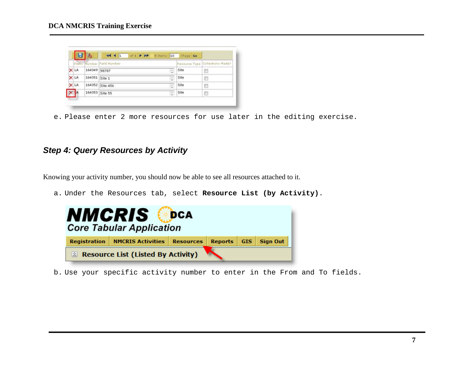|      |                | Prefix Number Field Number |                    | Resource Type Collections Made? |
|------|----------------|----------------------------|--------------------|---------------------------------|
| X LA | 164349 98787   | ÷                          | Site               | B                               |
| X LA | 164351 Site 1  | ÷.                         | Site               | n                               |
| X LA |                | 164352 Site 456<br>÷       | Site               |                                 |
| XA   | 164353 Site 55 |                            | $\frac{1}{2}$ Site | Ð                               |

e. Please enter 2 more resources for use later in the editing exercise.

### *Step 4: Query Resources by Activity*

Knowing your activity number, you should now be able to see all resources attached to it.

a. Under the Resources tab, select **Resource List (by Activity)**.



b. Use your specific activity number to enter in the From and To fields.